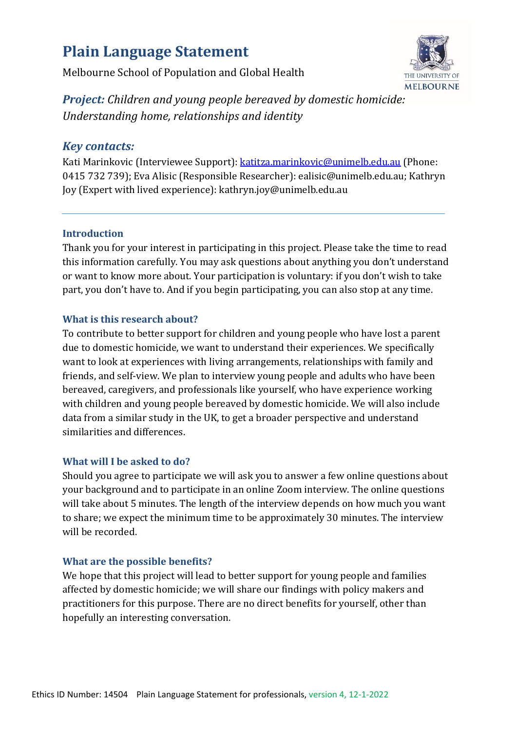# **Plain Language Statement**

Melbourne School of Population and Global Health



*Project: Children and young people bereaved by domestic homicide: Understanding home, relationships and identity*

# *Key contacts:*

Kati Marinkovic (Interviewee Support)[: katitza.marinkovic@unimelb.edu.au](mailto:katitza.marinkovic@unimelb.edu.au) (Phone: 0415 732 739); Eva Alisic (Responsible Researcher): ealisic@unimelb.edu.au; Kathryn Joy (Expert with lived experience): kathryn.joy@unimelb.edu.au

## **Introduction**

Thank you for your interest in participating in this project. Please take the time to read this information carefully. You may ask questions about anything you don't understand or want to know more about. Your participation is voluntary: if you don't wish to take part, you don't have to. And if you begin participating, you can also stop at any time.

## **What is this research about?**

To contribute to better support for children and young people who have lost a parent due to domestic homicide, we want to understand their experiences. We specifically want to look at experiences with living arrangements, relationships with family and friends, and self-view. We plan to interview young people and adults who have been bereaved, caregivers, and professionals like yourself, who have experience working with children and young people bereaved by domestic homicide. We will also include data from a similar study in the UK, to get a broader perspective and understand similarities and differences.

## **What will I be asked to do?**

Should you agree to participate we will ask you to answer a few online questions about your background and to participate in an online Zoom interview. The online questions will take about 5 minutes. The length of the interview depends on how much you want to share; we expect the minimum time to be approximately 30 minutes. The interview will be recorded.

## **What are the possible benefits?**

We hope that this project will lead to better support for young people and families affected by domestic homicide; we will share our findings with policy makers and practitioners for this purpose. There are no direct benefits for yourself, other than hopefully an interesting conversation.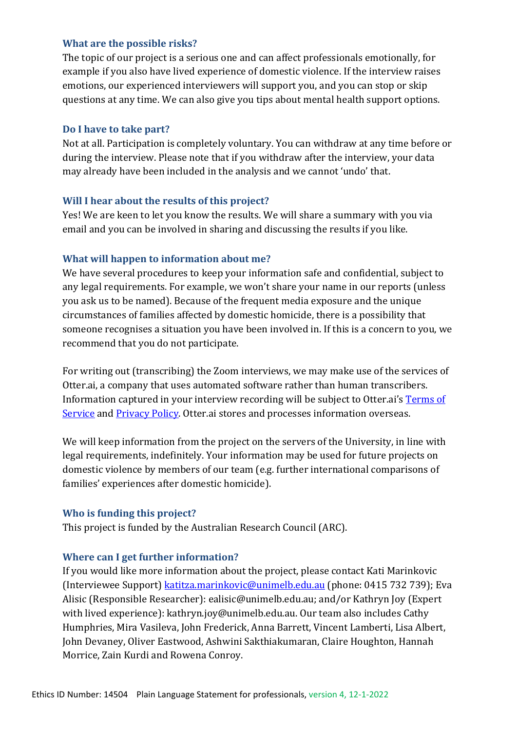#### **What are the possible risks?**

The topic of our project is a serious one and can affect professionals emotionally, for example if you also have lived experience of domestic violence. If the interview raises emotions, our experienced interviewers will support you, and you can stop or skip questions at any time. We can also give you tips about mental health support options.

#### **Do I have to take part?**

Not at all. Participation is completely voluntary. You can withdraw at any time before or during the interview. Please note that if you withdraw after the interview, your data may already have been included in the analysis and we cannot 'undo' that.

#### **Will I hear about the results of this project?**

Yes! We are keen to let you know the results. We will share a summary with you via email and you can be involved in sharing and discussing the results if you like.

#### **What will happen to information about me?**

We have several procedures to keep your information safe and confidential, subject to any legal requirements. For example, we won't share your name in our reports (unless you ask us to be named). Because of the frequent media exposure and the unique circumstances of families affected by domestic homicide, there is a possibility that someone recognises a situation you have been involved in. If this is a concern to you, we recommend that you do not participate.

For writing out (transcribing) the Zoom interviews, we may make use of the services of Otter.ai, a company that uses automated software rather than human transcribers. Information captured in your interview recording will be subject to Otter.ai's [Terms of](https://blog.otter.ai/terms-of-service/)  [Service](https://blog.otter.ai/terms-of-service/) and [Privacy Policy.](https://otter.ai/privacy) Otter.ai stores and processes information overseas.

We will keep information from the project on the servers of the University, in line with legal requirements, indefinitely. Your information may be used for future projects on domestic violence by members of our team (e.g. further international comparisons of families' experiences after domestic homicide).

#### **Who is funding this project?**

This project is funded by the Australian Research Council (ARC).

#### **Where can I get further information?**

If you would like more information about the project, please contact Kati Marinkovic (Interviewee Support) [katitza.marinkovic@unimelb.edu.au](mailto:katitza.marinkovic@unimelb.edu.au) (phone: 0415 732 739); Eva Alisic (Responsible Researcher): ealisic@unimelb.edu.au; and/or Kathryn Joy (Expert with lived experience): kathryn.joy@unimelb.edu.au. Our team also includes Cathy Humphries, Mira Vasileva, John Frederick, Anna Barrett, Vincent Lamberti, Lisa Albert, John Devaney, Oliver Eastwood, Ashwini Sakthiakumaran, Claire Houghton, Hannah Morrice, Zain Kurdi and Rowena Conroy.